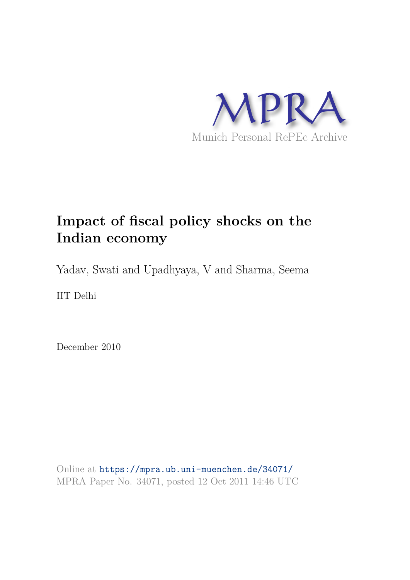

# **Impact of fiscal policy shocks on the Indian economy**

Yadav, Swati and Upadhyaya, V and Sharma, Seema

IIT Delhi

December 2010

Online at https://mpra.ub.uni-muenchen.de/34071/ MPRA Paper No. 34071, posted 12 Oct 2011 14:46 UTC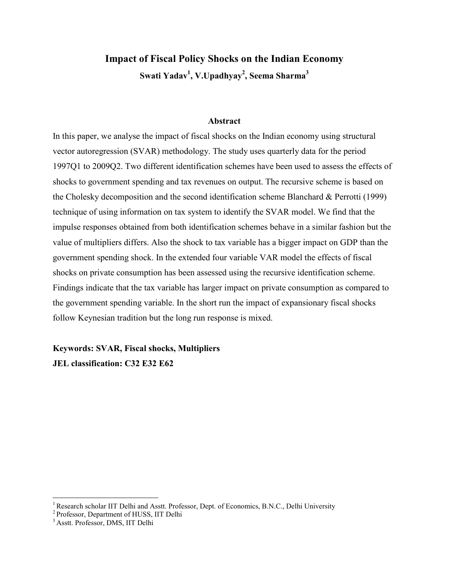# **Impact of Fiscal Policy Shocks on the Indian Economy Swati Yadav<sup>1</sup> , V.Upadhyay<sup>2</sup> , Seema Sharma<sup>3</sup>**

#### **Abstract**

In this paper, we analyse the impact of fiscal shocks on the Indian economy using structural vector autoregression (SVAR) methodology. The study uses quarterly data for the period 1997Q1 to 2009Q2. Two different identification schemes have been used to assess the effects of shocks to government spending and tax revenues on output. The recursive scheme is based on the Cholesky decomposition and the second identification scheme Blanchard & Perrotti (1999) technique of using information on tax system to identify the SVAR model. We find that the impulse responses obtained from both identification schemes behave in a similar fashion but the value of multipliers differs. Also the shock to tax variable has a bigger impact on GDP than the government spending shock. In the extended four variable VAR model the effects of fiscal shocks on private consumption has been assessed using the recursive identification scheme. Findings indicate that the tax variable has larger impact on private consumption as compared to the government spending variable. In the short run the impact of expansionary fiscal shocks follow Keynesian tradition but the long run response is mixed.

**Keywords: SVAR, Fiscal shocks, Multipliers JEL classification: C32 E32 E62** 

 $\overline{a}$ 

<sup>&</sup>lt;sup>1</sup> Research scholar IIT Delhi and Asstt. Professor, Dept. of Economics, B.N.C., Delhi University

<sup>2</sup>Professor, Department of HUSS, IIT Delhi

<sup>3</sup>Asstt. Professor, DMS, IIT Delhi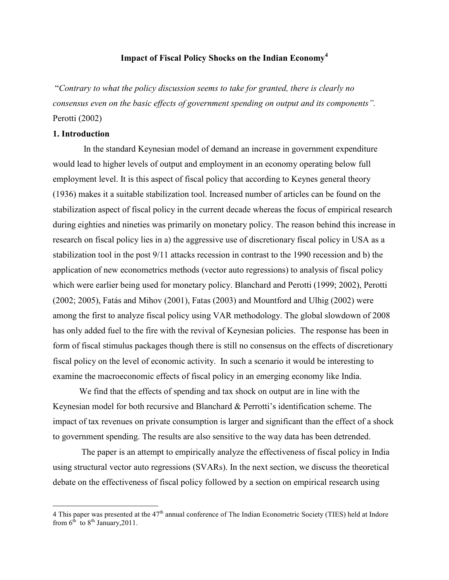### **Impact of Fiscal Policy Shocks on the Indian Economy<sup>4</sup>**

"Contrary to what the policy discussion seems to take for granted, there is clearly no consensus even on the basic effects of government spending on output and its components". Perotti (2002)

#### **1. Introduction**

 $\overline{a}$ 

 In the standard Keynesian model of demand an increase in government expenditure would lead to higher levels of output and employment in an economy operating below full employment level. It is this aspect of fiscal policy that according to Keynes general theory (1936) makes it a suitable stabilization tool. Increased number of articles can be found on the stabilization aspect of fiscal policy in the current decade whereas the focus of empirical research during eighties and nineties was primarily on monetary policy. The reason behind this increase in research on fiscal policy lies in a) the aggressive use of discretionary fiscal policy in USA as a stabilization tool in the post 9/11 attacks recession in contrast to the 1990 recession and b) the application of new econometrics methods (vector auto regressions) to analysis of fiscal policy which were earlier being used for monetary policy. Blanchard and Perotti (1999; 2002), Perotti (2002; 2005), Fatás and Mihov (2001), Fatas (2003) and Mountford and Ulhig (2002) were among the first to analyze fiscal policy using VAR methodology. The global slowdown of 2008 has only added fuel to the fire with the revival of Keynesian policies. The response has been in form of fiscal stimulus packages though there is still no consensus on the effects of discretionary fiscal policy on the level of economic activity. In such a scenario it would be interesting to examine the macroeconomic effects of fiscal policy in an emerging economy like India.

We find that the effects of spending and tax shock on output are in line with the Keynesian model for both recursive and Blanchard & Perrotti's identification scheme. The impact of tax revenues on private consumption is larger and significant than the effect of a shock to government spending. The results are also sensitive to the way data has been detrended.

 The paper is an attempt to empirically analyze the effectiveness of fiscal policy in India using structural vector auto regressions (SVARs). In the next section, we discuss the theoretical debate on the effectiveness of fiscal policy followed by a section on empirical research using

<sup>4</sup> This paper was presented at the  $47<sup>th</sup>$  annual conference of The Indian Econometric Society (TIES) held at Indore from  $6<sup>th</sup>$  to  $8<sup>th</sup>$  January, 2011.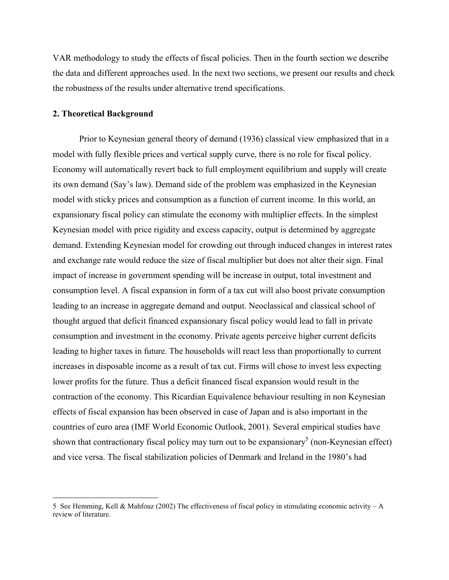VAR methodology to study the effects of fiscal policies. Then in the fourth section we describe the data and different approaches used. In the next two sections, we present our results and check the robustness of the results under alternative trend specifications.

#### **2. Theoretical Background**

 $\overline{a}$ 

Prior to Keynesian general theory of demand (1936) classical view emphasized that in a model with fully flexible prices and vertical supply curve, there is no role for fiscal policy. Economy will automatically revert back to full employment equilibrium and supply will create its own demand (Say's law). Demand side of the problem was emphasized in the Keynesian model with sticky prices and consumption as a function of current income. In this world, an expansionary fiscal policy can stimulate the economy with multiplier effects. In the simplest Keynesian model with price rigidity and excess capacity, output is determined by aggregate demand. Extending Keynesian model for crowding out through induced changes in interest rates and exchange rate would reduce the size of fiscal multiplier but does not alter their sign. Final impact of increase in government spending will be increase in output, total investment and consumption level. A fiscal expansion in form of a tax cut will also boost private consumption leading to an increase in aggregate demand and output. Neoclassical and classical school of thought argued that deficit financed expansionary fiscal policy would lead to fall in private consumption and investment in the economy. Private agents perceive higher current deficits leading to higher taxes in future. The households will react less than proportionally to current increases in disposable income as a result of tax cut. Firms will chose to invest less expecting lower profits for the future. Thus a deficit financed fiscal expansion would result in the contraction of the economy. This Ricardian Equivalence behaviour resulting in non Keynesian effects of fiscal expansion has been observed in case of Japan and is also important in the countries of euro area (IMF World Economic Outlook, 2001). Several empirical studies have shown that contractionary fiscal policy may turn out to be expansionary<sup>5</sup> (non-Keynesian effect) and vice versa. The fiscal stabilization policies of Denmark and Ireland in the 1980's had

<sup>5</sup> See Hemming, Kell & Mahfouz (2002) The effectiveness of fiscal policy in stimulating economic activity – A review of literature.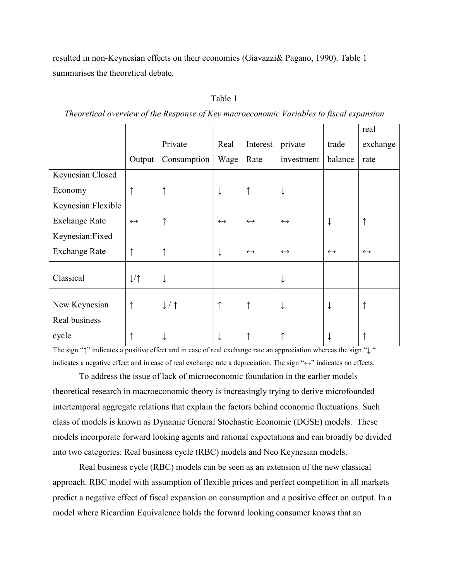resulted in non-Keynesian effects on their economies (Giavazzi& Pagano, 1990). Table 1 summarises the theoretical debate.

| ао |  |
|----|--|
|    |  |

|                      |                   |             |                   |                   |                   |                   | real              |
|----------------------|-------------------|-------------|-------------------|-------------------|-------------------|-------------------|-------------------|
|                      |                   | Private     | Real              | Interest          | private           | trade             | exchange          |
|                      | Output            | Consumption | Wage              | Rate              | investment        | balance           | rate              |
| Keynesian:Closed     |                   |             |                   |                   |                   |                   |                   |
| Economy              | $\uparrow$        | ↑           | ↓                 | ↑                 | ↓                 |                   |                   |
| Keynesian: Flexible  |                   |             |                   |                   |                   |                   |                   |
| <b>Exchange Rate</b> | $\leftrightarrow$ | ↑           | $\leftrightarrow$ | $\leftrightarrow$ | $\leftrightarrow$ | ↓                 |                   |
| Keynesian:Fixed      |                   |             |                   |                   |                   |                   |                   |
| <b>Exchange Rate</b> | $\uparrow$        |             | ↓                 | $\leftrightarrow$ | $\leftrightarrow$ | $\leftrightarrow$ | $\leftrightarrow$ |
| Classical            | 1/1               | ↓           |                   |                   |                   |                   |                   |
| New Keynesian        | ↑                 | 1/1         | ↑                 | ↑                 |                   |                   |                   |
| Real business        |                   |             |                   |                   |                   |                   |                   |
| cycle                |                   | ↓           |                   |                   |                   |                   |                   |

Theoretical overview of the Response of Key macroeconomic Variables to fiscal expansion

The sign "↑" indicates a positive effect and in case of real exchange rate an appreciation whereas the sign "↓ " indicates a negative effect and in case of real exchange rate a depreciation. The sign "↔" indicates no effects.

To address the issue of lack of microeconomic foundation in the earlier models theoretical research in macroeconomic theory is increasingly trying to derive microfounded intertemporal aggregate relations that explain the factors behind economic fluctuations. Such class of models is known as Dynamic General Stochastic Economic (DGSE) models. These models incorporate forward looking agents and rational expectations and can broadly be divided into two categories: Real business cycle (RBC) models and Neo Keynesian models.

Real business cycle (RBC) models can be seen as an extension of the new classical approach. RBC model with assumption of flexible prices and perfect competition in all markets predict a negative effect of fiscal expansion on consumption and a positive effect on output. In a model where Ricardian Equivalence holds the forward looking consumer knows that an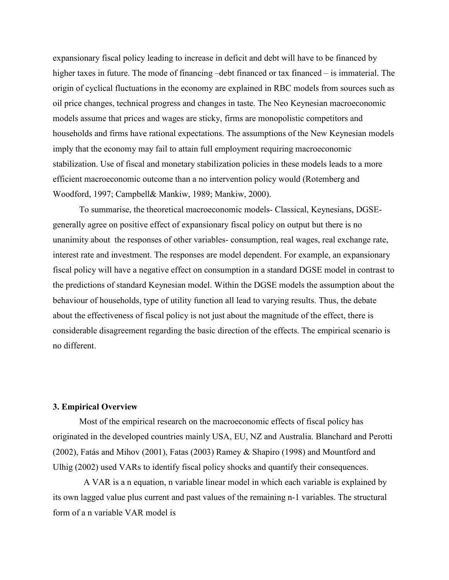expansionary fiscal policy leading to increase in deficit and debt will have to be financed by higher taxes in future. The mode of financing –debt financed or tax financed – is immaterial. The origin of cyclical fluctuations in the economy are explained in RBC models from sources such as oil price changes, technical progress and changes in taste. The Neo Keynesian macroeconomic models assume that prices and wages are sticky, firms are monopolistic competitors and households and firms have rational expectations. The assumptions of the New Keynesian models imply that the economy may fail to attain full employment requiring macroeconomic stabilization. Use of fiscal and monetary stabilization policies in these models leads to a more efficient macroeconomic outcome than a no intervention policy would (Rotemberg and Woodford, 1997; Campbell& Mankiw, 1989; Mankiw, 2000).

To summarise, the theoretical macroeconomic models- Classical, Keynesians, DGSEgenerally agree on positive effect of expansionary fiscal policy on output but there is no unanimity about the responses of other variables- consumption, real wages, real exchange rate, interest rate and investment. The responses are model dependent. For example, an expansionary fiscal policy will have a negative effect on consumption in a standard DGSE model in contrast to the predictions of standard Keynesian model. Within the DGSE models the assumption about the behaviour of households, type of utility function all lead to varying results. Thus, the debate about the effectiveness of fiscal policy is not just about the magnitude of the effect, there is considerable disagreement regarding the basic direction of the effects. The empirical scenario is no different.

#### **3. Empirical Overview**

Most of the empirical research on the macroeconomic effects of fiscal policy has originated in the developed countries mainly USA, EU, NZ and Australia. Blanchard and Perotti (2002), Fatás and Mihov (2001), Fatas (2003) Ramey & Shapiro (1998) and Mountford and Ulhig (2002) used VARs to identify fiscal policy shocks and quantify their consequences.

 A VAR is a n equation, n variable linear model in which each variable is explained by its own lagged value plus current and past values of the remaining n-1 variables. The structural form of a n variable VAR model is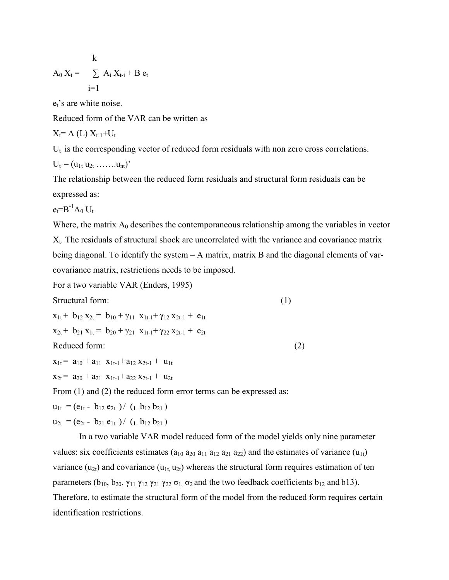$$
A_0 X_t = \sum_{i=1}^k A_i X_{t-i} + B e_t
$$

 $e_t$ 's are white noise.

Reduced form of the VAR can be written as

$$
X_t = A(L) X_{t-1} + U_t
$$

 $U_t$  is the corresponding vector of reduced form residuals with non zero cross correlations.

$$
U_t = (u_{1t} u_{2t} \ldots \ldots u_{nt})^{\prime}
$$

The relationship between the reduced form residuals and structural form residuals can be expressed as:

 $e_t = B^{-1}A_0 U_t$ 

Where, the matrix  $A_0$  describes the contemporaneous relationship among the variables in vector  $X_t$ . The residuals of structural shock are uncorrelated with the variance and covariance matrix being diagonal. To identify the system – A matrix, matrix B and the diagonal elements of varcovariance matrix, restrictions needs to be imposed.

For a two variable VAR (Enders, 1995)

Structural form: (1)

 $x_{1t}$  +  $b_{12}$   $x_{2t}$  =  $b_{10}$  +  $\gamma_{11}$   $x_{1t-1}$  +  $\gamma_{12}$   $x_{2t-1}$  +  $e_{1t}$  $x_{2t}$  + b<sub>21</sub>  $x_{1t}$  = b<sub>20</sub> +  $\gamma_{21}$   $x_{1t-1}$  +  $\gamma_{22}$   $x_{2t-1}$  +  $e_{2t}$ Reduced form: (2)

 $x_{1t} = a_{10} + a_{11} x_{1t-1} + a_{12} x_{2t-1} + u_{1t}$ 

 $x_{2t} = a_{20} + a_{21} x_{1t-1} + a_{22} x_{2t-1} + u_{2t}$ 

From (1) and (2) the reduced form error terms can be expressed as:

 $u_{1t} = (e_{1t} - b_{12} e_{2t}) / (1 - b_{12} b_{21})$ 

$$
u_{2t} = (e_{2t} - b_{21} e_{1t}) / (1, b_{12} b_{21})
$$

In a two variable VAR model reduced form of the model yields only nine parameter values: six coefficients estimates ( $a_{10} a_{20} a_{11} a_{12} a_{21} a_{22}$ ) and the estimates of variance ( $u_{1t}$ ) variance  $(u_{2t})$  and covariance  $(u_{1t}, u_{2t})$  whereas the structural form requires estimation of ten parameters ( $b_{10}$ ,  $b_{20}$ ,  $\gamma_{11}$   $\gamma_{12}$   $\gamma_{21}$   $\gamma_{22}$   $\sigma_1$ ,  $\sigma_2$  and the two feedback coefficients  $b_{12}$  and b13). Therefore, to estimate the structural form of the model from the reduced form requires certain identification restrictions.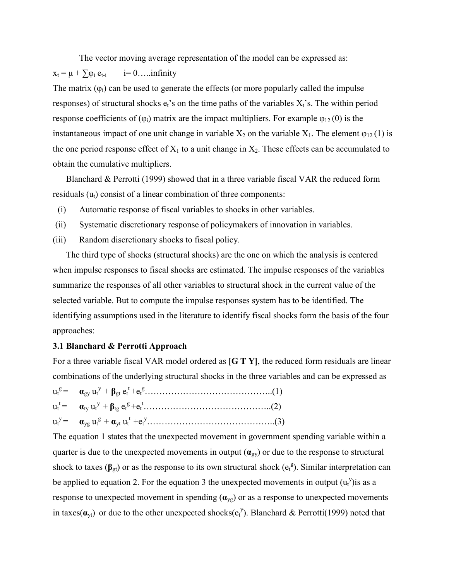The vector moving average representation of the model can be expressed as:  $x_t = \mu + \sum \varphi_i$  $i = 0$ .....infinity The matrix  $(\varphi_i)$  can be used to generate the effects (or more popularly called the impulse responses) of structural shocks  $e_t$ 's on the time paths of the variables  $X_t$ 's. The within period response coefficients of  $(\varphi_i)$  matrix are the impact multipliers. For example  $\varphi_{12}(0)$  is the instantaneous impact of one unit change in variable  $X_2$  on the variable  $X_1$ . The element  $\varphi_{12}(1)$  is the one period response effect of  $X_1$  to a unit change in  $X_2$ . These effects can be accumulated to obtain the cumulative multipliers.

Blanchard & Perrotti (1999) showed that in a three variable fiscal VAR **t**he reduced form residuals  $(u_t)$  consist of a linear combination of three components:

- (i) Automatic response of fiscal variables to shocks in other variables.
- (ii) Systematic discretionary response of policymakers of innovation in variables.
- (iii) Random discretionary shocks to fiscal policy.

The third type of shocks (structural shocks) are the one on which the analysis is centered when impulse responses to fiscal shocks are estimated. The impulse responses of the variables summarize the responses of all other variables to structural shock in the current value of the selected variable. But to compute the impulse responses system has to be identified. The identifying assumptions used in the literature to identify fiscal shocks form the basis of the four approaches:

#### **3.1 Blanchard & Perrotti Approach**

For a three variable fiscal VAR model ordered as **[G T Y]**, the reduced form residuals are linear combinations of the underlying structural shocks in the three variables and can be expressed as

The equation 1 states that the unexpected movement in government spending variable within a quarter is due to the unexpected movements in output  $(\mathbf{a}_{gy})$  or due to the response to structural shock to taxes ( $\beta_{gt}$ ) or as the response to its own structural shock ( $e_t^g$ ). Similar interpretation can be applied to equation 2. For the equation 3 the unexpected movements in output  $(u_t^y)$  is as a response to unexpected movement in spending  $(\mathbf{a}_{\text{yg}})$  or as a response to unexpected movements in taxes( $\alpha_{yt}$ ) or due to the other unexpected shocks( $e_t^y$ ). Blanchard & Perrotti(1999) noted that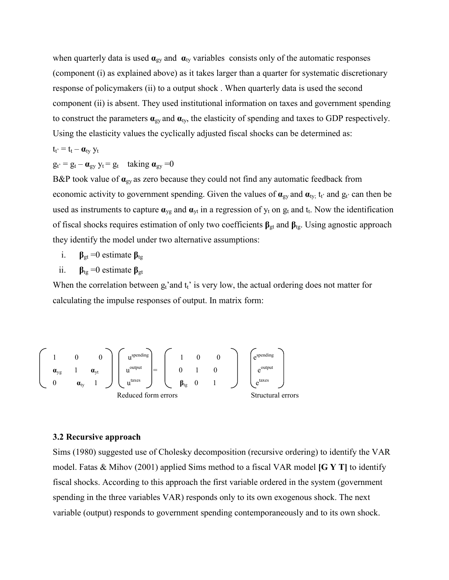when quarterly data is used  $\alpha_{gy}$  and  $\alpha_{ty}$  variables consists only of the automatic responses (component (i) as explained above) as it takes larger than a quarter for systematic discretionary response of policymakers (ii) to a output shock . When quarterly data is used the second component (ii) is absent. They used institutional information on taxes and government spending to construct the parameters  $\mathbf{a}_{\text{gy}}$  and  $\mathbf{a}_{\text{ty}}$ , the elasticity of spending and taxes to GDP respectively. Using the elasticity values the cyclically adjusted fiscal shocks can be determined as:

$$
t_{t'} = t_t - \pmb{\alpha}_{ty} \; y_t
$$

$$
g_{t'} = g_t - \alpha_{gy} y_t = g_t \quad \text{taking } \alpha_{gy} = 0
$$

B&P took value of **α**gy as zero because they could not find any automatic feedback from economic activity to government spending. Given the values of  $\alpha_{gy}$  and  $\alpha_{ty}$ ; t<sub>t</sub>' and  $g_{t'}$  can then be used as instruments to capture  $\mathbf{a}_{yg}$  and  $\mathbf{a}_{yt}$  in a regression of  $y_t$  on  $g_t$  and  $t_t$ . Now the identification of fiscal shocks requires estimation of only two coefficients **β**gt and **β**tg. Using agnostic approach they identify the model under two alternative assumptions:

i.  $\beta_{gt} = 0$  estimate  $\beta_{tg}$ 

ii.  $\beta_{tg} = 0$  estimate  $\beta_{gt}$ 

When the correlation between  $g_t$ 'and  $t_t$ ' is very low, the actual ordering does not matter for calculating the impulse responses of output. In matrix form:

$$
\begin{pmatrix}\n1 & 0 & 0 \\
\mathbf{a}_{\text{yg}} & 1 & \mathbf{a}_{\text{y}t} \\
0 & \mathbf{a}_{\text{ty}} & 1\n\end{pmatrix}\n\begin{pmatrix}\nu^{\text{spending}} \\
u^{\text{output}} \\
u^{\text{taxes}}\n\end{pmatrix} = \n\begin{pmatrix}\n1 & 0 & 0 \\
0 & 1 & 0 \\
\mathbf{\beta}_{\text{tg}} & 0 & 1\n\end{pmatrix}\n\begin{pmatrix}\ne^{\text{spending}} \\
e^{\text{output}} \\
e^{\text{taxes}}\n\end{pmatrix}
$$
\nReduced form errors Structural errors

#### **3.2 Recursive approach**

Sims (1980) suggested use of Cholesky decomposition (recursive ordering) to identify the VAR model. Fatas & Mihov (2001) applied Sims method to a fiscal VAR model **[G Y T]** to identify fiscal shocks. According to this approach the first variable ordered in the system (government spending in the three variables VAR) responds only to its own exogenous shock. The next variable (output) responds to government spending contemporaneously and to its own shock.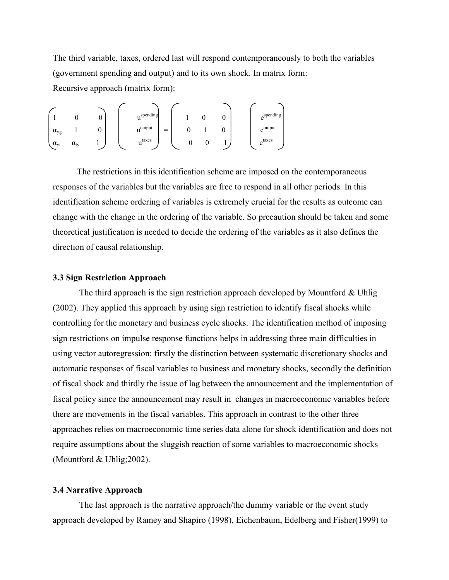The third variable, taxes, ordered last will respond contemporaneously to both the variables (government spending and output) and to its own shock. In matrix form: Recursive approach (matrix form):

$$
\begin{pmatrix}\n1 & 0 & 0 \\
\mathbf{a}_{yg} & 1 & 0 \\
\mathbf{a}_{yt} & \mathbf{a}_{ty} & 1\n\end{pmatrix}\n\begin{pmatrix}\nu^{spending} \\
u^{output} \\
u^{taxes}\n\end{pmatrix} =\n\begin{pmatrix}\n1 & 0 & 0 \\
0 & 1 & 0 \\
0 & 0 & 1\n\end{pmatrix}\n\begin{pmatrix}\ne^{spending} \\
e^{output} \\
e^{taxes}\n\end{pmatrix}
$$

 The restrictions in this identification scheme are imposed on the contemporaneous responses of the variables but the variables are free to respond in all other periods. In this identification scheme ordering of variables is extremely crucial for the results as outcome can change with the change in the ordering of the variable. So precaution should be taken and some theoretical justification is needed to decide the ordering of the variables as it also defines the direction of causal relationship.

#### **3.3 Sign Restriction Approach**

The third approach is the sign restriction approach developed by Mountford  $&$  Uhlig (2002). They applied this approach by using sign restriction to identify fiscal shocks while controlling for the monetary and business cycle shocks. The identification method of imposing sign restrictions on impulse response functions helps in addressing three main difficulties in using vector autoregression: firstly the distinction between systematic discretionary shocks and automatic responses of fiscal variables to business and monetary shocks, secondly the definition of fiscal shock and thirdly the issue of lag between the announcement and the implementation of fiscal policy since the announcement may result in changes in macroeconomic variables before there are movements in the fiscal variables. This approach in contrast to the other three approaches relies on macroeconomic time series data alone for shock identification and does not require assumptions about the sluggish reaction of some variables to macroeconomic shocks (Mountford & Uhlig;2002).

#### **3.4 Narrative Approach**

The last approach is the narrative approach/the dummy variable or the event study approach developed by Ramey and Shapiro (1998), Eichenbaum, Edelberg and Fisher(1999) to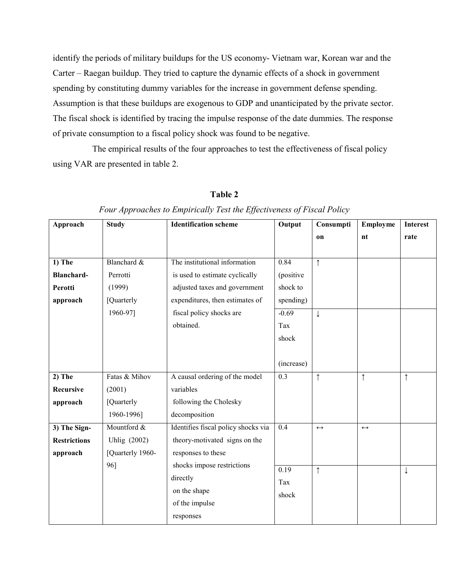identify the periods of military buildups for the US economy- Vietnam war, Korean war and the Carter – Raegan buildup. They tried to capture the dynamic effects of a shock in government spending by constituting dummy variables for the increase in government defense spending. Assumption is that these buildups are exogenous to GDP and unanticipated by the private sector. The fiscal shock is identified by tracing the impulse response of the date dummies. The response of private consumption to a fiscal policy shock was found to be negative.

 The empirical results of the four approaches to test the effectiveness of fiscal policy using VAR are presented in table 2.

| Approach            | <b>Study</b>     | <b>Identification scheme</b>        | Output     | Consumpti         | Employme          | <b>Interest</b> |
|---------------------|------------------|-------------------------------------|------------|-------------------|-------------------|-----------------|
|                     |                  |                                     |            | on                | nt                | rate            |
|                     |                  |                                     |            |                   |                   |                 |
| $1)$ The            | Blanchard &      | The institutional information       | 0.84       | $\uparrow$        |                   |                 |
| <b>Blanchard-</b>   | Perrotti         | is used to estimate cyclically      | (positive  |                   |                   |                 |
| Perotti             | (1999)           | adjusted taxes and government       | shock to   |                   |                   |                 |
| approach            | [Quarterly       | expenditures, then estimates of     | spending)  |                   |                   |                 |
|                     | 1960-97]         | fiscal policy shocks are            | $-0.69$    | $\downarrow$      |                   |                 |
|                     |                  | obtained.                           | Tax        |                   |                   |                 |
|                     |                  |                                     | shock      |                   |                   |                 |
|                     |                  |                                     |            |                   |                   |                 |
|                     |                  |                                     | (increase) |                   |                   |                 |
| $2)$ The            | Fatas & Mihov    | A causal ordering of the model      | 0.3        | $\uparrow$        | $\uparrow$        | $\uparrow$      |
| Recursive           | (2001)           | variables                           |            |                   |                   |                 |
| approach            | [Quarterly       | following the Cholesky              |            |                   |                   |                 |
|                     | 1960-1996]       | decomposition                       |            |                   |                   |                 |
| 3) The Sign-        | Mountford &      | Identifies fiscal policy shocks via | $0.4\,$    | $\leftrightarrow$ | $\leftrightarrow$ |                 |
| <b>Restrictions</b> | Uhlig (2002)     | theory-motivated signs on the       |            |                   |                   |                 |
| approach            | [Quarterly 1960- | responses to these                  |            |                   |                   |                 |
|                     | 96]              | shocks impose restrictions          | 0.19       | $\uparrow$        |                   | $\downarrow$    |
|                     |                  | directly                            | Tax        |                   |                   |                 |
|                     |                  | on the shape                        | shock      |                   |                   |                 |
|                     |                  | of the impulse                      |            |                   |                   |                 |
|                     |                  | responses                           |            |                   |                   |                 |

# **Table 2**

## Four Approaches to Empirically Test the Effectiveness of Fiscal Policy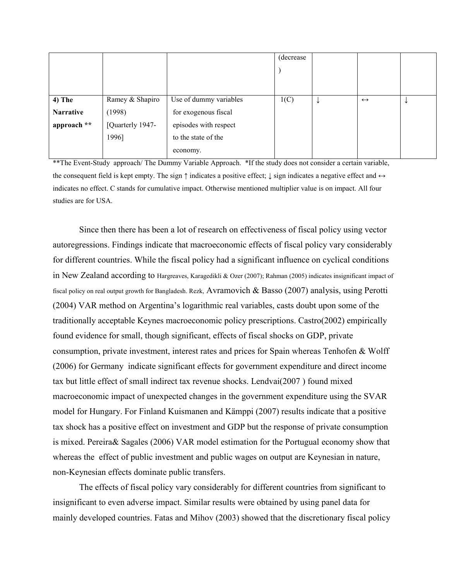|                  |                  |                        | (decrease) |   |                   |  |
|------------------|------------------|------------------------|------------|---|-------------------|--|
|                  |                  |                        |            |   |                   |  |
|                  |                  |                        |            |   |                   |  |
|                  |                  |                        |            |   |                   |  |
| $4)$ The         | Ramey & Shapiro  | Use of dummy variables | 1(C)       | ₩ | $\leftrightarrow$ |  |
| <b>Narrative</b> | (1998)           | for exogenous fiscal   |            |   |                   |  |
| approach **      | [Quarterly 1947- | episodes with respect  |            |   |                   |  |
|                  | 1996]            | to the state of the    |            |   |                   |  |
|                  |                  | economy.               |            |   |                   |  |

\*\*The Event-Study approach/ The Dummy Variable Approach. \*If the study does not consider a certain variable, the consequent field is kept empty. The sign  $\uparrow$  indicates a positive effect;  $\downarrow$  sign indicates a negative effect and  $\leftrightarrow$ indicates no effect. C stands for cumulative impact. Otherwise mentioned multiplier value is on impact. All four studies are for USA.

Since then there has been a lot of research on effectiveness of fiscal policy using vector autoregressions. Findings indicate that macroeconomic effects of fiscal policy vary considerably for different countries. While the fiscal policy had a significant influence on cyclical conditions in New Zealand according to Hargreaves, Karagedikli & Ozer (2007); Rahman (2005) indicates insignificant impact of fiscal policy on real output growth for Bangladesh. Rezk, Avramovich & Basso (2007) analysis, using Perotti (2004) VAR method on Argentina's logarithmic real variables, casts doubt upon some of the traditionally acceptable Keynes macroeconomic policy prescriptions. Castro(2002) empirically found evidence for small, though significant, effects of fiscal shocks on GDP, private consumption, private investment, interest rates and prices for Spain whereas Tenhofen & Wolff (2006) for Germany indicate significant effects for government expenditure and direct income tax but little effect of small indirect tax revenue shocks. Lendvai(2007 ) found mixed macroeconomic impact of unexpected changes in the government expenditure using the SVAR model for Hungary. For Finland Kuismanen and Kämppi (2007) results indicate that a positive tax shock has a positive effect on investment and GDP but the response of private consumption is mixed. Pereira& Sagales (2006) VAR model estimation for the Portugual economy show that whereas the effect of public investment and public wages on output are Keynesian in nature, non-Keynesian effects dominate public transfers.

The effects of fiscal policy vary considerably for different countries from significant to insignificant to even adverse impact. Similar results were obtained by using panel data for mainly developed countries. Fatas and Mihov (2003) showed that the discretionary fiscal policy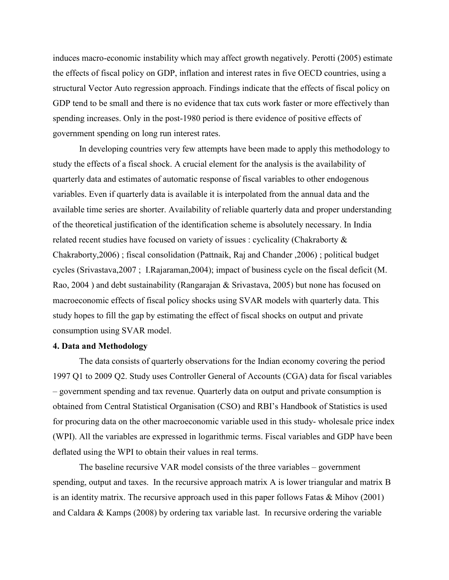induces macro-economic instability which may affect growth negatively. Perotti (2005) estimate the effects of fiscal policy on GDP, inflation and interest rates in five OECD countries, using a structural Vector Auto regression approach. Findings indicate that the effects of fiscal policy on GDP tend to be small and there is no evidence that tax cuts work faster or more effectively than spending increases. Only in the post-1980 period is there evidence of positive effects of government spending on long run interest rates.

In developing countries very few attempts have been made to apply this methodology to study the effects of a fiscal shock. A crucial element for the analysis is the availability of quarterly data and estimates of automatic response of fiscal variables to other endogenous variables. Even if quarterly data is available it is interpolated from the annual data and the available time series are shorter. Availability of reliable quarterly data and proper understanding of the theoretical justification of the identification scheme is absolutely necessary. In India related recent studies have focused on variety of issues : cyclicality (Chakraborty & Chakraborty,2006) ; fiscal consolidation (Pattnaik, Raj and Chander ,2006) ; political budget cycles (Srivastava,2007 ; I.Rajaraman,2004); impact of business cycle on the fiscal deficit (M. Rao, 2004 ) and debt sustainability (Rangarajan & Srivastava, 2005) but none has focused on macroeconomic effects of fiscal policy shocks using SVAR models with quarterly data. This study hopes to fill the gap by estimating the effect of fiscal shocks on output and private consumption using SVAR model.

#### **4. Data and Methodology**

The data consists of quarterly observations for the Indian economy covering the period 1997 Q1 to 2009 Q2. Study uses Controller General of Accounts (CGA) data for fiscal variables – government spending and tax revenue. Quarterly data on output and private consumption is obtained from Central Statistical Organisation (CSO) and RBI's Handbook of Statistics is used for procuring data on the other macroeconomic variable used in this study- wholesale price index (WPI). All the variables are expressed in logarithmic terms. Fiscal variables and GDP have been deflated using the WPI to obtain their values in real terms.

The baseline recursive VAR model consists of the three variables – government spending, output and taxes. In the recursive approach matrix A is lower triangular and matrix B is an identity matrix. The recursive approach used in this paper follows Fatas & Mihov (2001) and Caldara & Kamps (2008) by ordering tax variable last. In recursive ordering the variable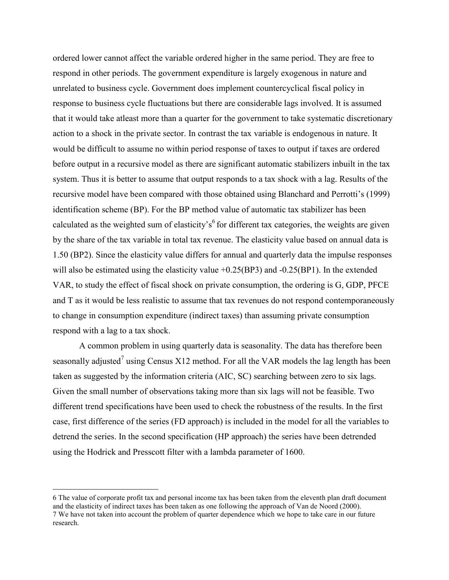ordered lower cannot affect the variable ordered higher in the same period. They are free to respond in other periods. The government expenditure is largely exogenous in nature and unrelated to business cycle. Government does implement countercyclical fiscal policy in response to business cycle fluctuations but there are considerable lags involved. It is assumed that it would take atleast more than a quarter for the government to take systematic discretionary action to a shock in the private sector. In contrast the tax variable is endogenous in nature. It would be difficult to assume no within period response of taxes to output if taxes are ordered before output in a recursive model as there are significant automatic stabilizers inbuilt in the tax system. Thus it is better to assume that output responds to a tax shock with a lag. Results of the recursive model have been compared with those obtained using Blanchard and Perrotti's (1999) identification scheme (BP). For the BP method value of automatic tax stabilizer has been calculated as the weighted sum of elasticity's<sup>6</sup> for different tax categories, the weights are given by the share of the tax variable in total tax revenue. The elasticity value based on annual data is 1.50 (BP2). Since the elasticity value differs for annual and quarterly data the impulse responses will also be estimated using the elasticity value  $+0.25(BP3)$  and  $-0.25(BP1)$ . In the extended VAR, to study the effect of fiscal shock on private consumption, the ordering is G, GDP, PFCE and T as it would be less realistic to assume that tax revenues do not respond contemporaneously to change in consumption expenditure (indirect taxes) than assuming private consumption respond with a lag to a tax shock.

A common problem in using quarterly data is seasonality. The data has therefore been seasonally adjusted<sup>7</sup> using Census X12 method. For all the VAR models the lag length has been taken as suggested by the information criteria (AIC, SC) searching between zero to six lags. Given the small number of observations taking more than six lags will not be feasible. Two different trend specifications have been used to check the robustness of the results. In the first case, first difference of the series (FD approach) is included in the model for all the variables to detrend the series. In the second specification (HP approach) the series have been detrended using the Hodrick and Presscott filter with a lambda parameter of 1600.

 $\overline{a}$ 

<sup>6</sup> The value of corporate profit tax and personal income tax has been taken from the eleventh plan draft document and the elasticity of indirect taxes has been taken as one following the approach of Van de Noord (2000). 7 We have not taken into account the problem of quarter dependence which we hope to take care in our future research.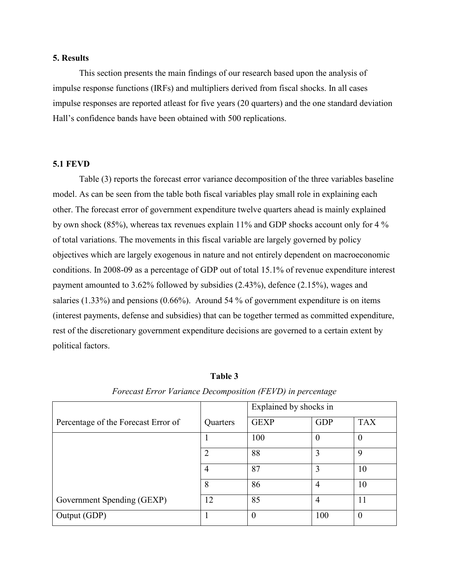#### **5. Results**

This section presents the main findings of our research based upon the analysis of impulse response functions (IRFs) and multipliers derived from fiscal shocks. In all cases impulse responses are reported atleast for five years (20 quarters) and the one standard deviation Hall's confidence bands have been obtained with 500 replications.

#### **5.1 FEVD**

Table (3) reports the forecast error variance decomposition of the three variables baseline model. As can be seen from the table both fiscal variables play small role in explaining each other. The forecast error of government expenditure twelve quarters ahead is mainly explained by own shock (85%), whereas tax revenues explain 11% and GDP shocks account only for 4 % of total variations. The movements in this fiscal variable are largely governed by policy objectives which are largely exogenous in nature and not entirely dependent on macroeconomic conditions. In 2008-09 as a percentage of GDP out of total 15.1% of revenue expenditure interest payment amounted to 3.62% followed by subsidies (2.43%), defence (2.15%), wages and salaries (1.33%) and pensions (0.66%). Around 54 % of government expenditure is on items (interest payments, defense and subsidies) that can be together termed as committed expenditure, rest of the discretionary government expenditure decisions are governed to a certain extent by political factors.

|                                     |          | Explained by shocks in |                |            |
|-------------------------------------|----------|------------------------|----------------|------------|
| Percentage of the Forecast Error of | Quarters | <b>GEXP</b>            | <b>GDP</b>     | <b>TAX</b> |
|                                     |          | 100                    | $\theta$       | $\theta$   |
|                                     | 2        | 88                     | 3              | 9          |
|                                     | 4        | 87                     | 3              | 10         |
|                                     | 8        | 86                     | $\overline{4}$ | 10         |
| Government Spending (GEXP)          | 12       | 85                     | $\overline{4}$ | 11         |
| Output (GDP)                        |          | $\overline{0}$         | 100            | 0          |

# **Table 3**

*Forecast Error Variance Decomposition (FEVD) in percentage*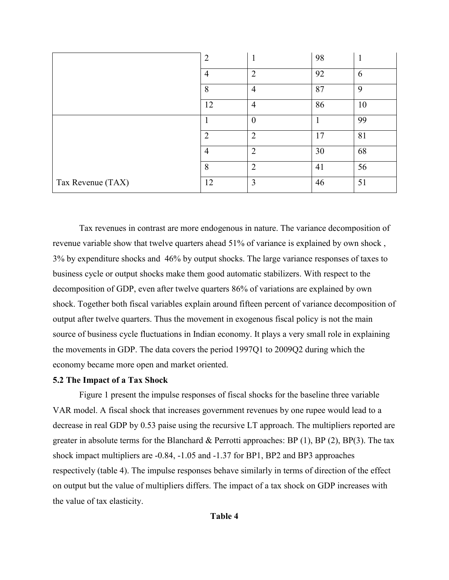|                   | $\overline{2}$ | л              | 98 | 1  |
|-------------------|----------------|----------------|----|----|
|                   | $\overline{4}$ | $\overline{2}$ | 92 | 6  |
|                   | 8              | $\overline{4}$ | 87 | 9  |
|                   | 12             | $\overline{4}$ | 86 | 10 |
|                   |                | $\overline{0}$ |    | 99 |
|                   | $\overline{2}$ | $\overline{2}$ | 17 | 81 |
|                   | 4              | $\overline{2}$ | 30 | 68 |
|                   | 8              | $\overline{2}$ | 41 | 56 |
| Tax Revenue (TAX) | 12             | 3              | 46 | 51 |

Tax revenues in contrast are more endogenous in nature. The variance decomposition of revenue variable show that twelve quarters ahead 51% of variance is explained by own shock , 3% by expenditure shocks and 46% by output shocks. The large variance responses of taxes to business cycle or output shocks make them good automatic stabilizers. With respect to the decomposition of GDP, even after twelve quarters 86% of variations are explained by own shock. Together both fiscal variables explain around fifteen percent of variance decomposition of output after twelve quarters. Thus the movement in exogenous fiscal policy is not the main source of business cycle fluctuations in Indian economy. It plays a very small role in explaining the movements in GDP. The data covers the period 1997Q1 to 2009Q2 during which the economy became more open and market oriented.

#### **5.2 The Impact of a Tax Shock**

Figure 1 present the impulse responses of fiscal shocks for the baseline three variable VAR model. A fiscal shock that increases government revenues by one rupee would lead to a decrease in real GDP by 0.53 paise using the recursive LT approach. The multipliers reported are greater in absolute terms for the Blanchard & Perrotti approaches:  $BP(1)$ ,  $BP(2)$ ,  $BP(3)$ . The tax shock impact multipliers are -0.84, -1.05 and -1.37 for BP1, BP2 and BP3 approaches respectively (table 4). The impulse responses behave similarly in terms of direction of the effect on output but the value of multipliers differs. The impact of a tax shock on GDP increases with the value of tax elasticity.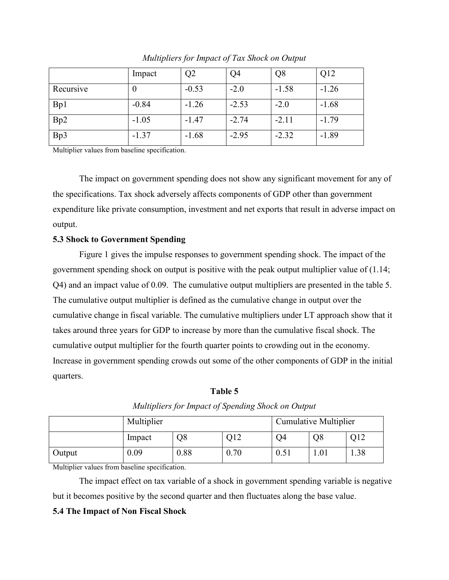|           | Impact  | Q2      | Q <sub>4</sub> | Q8      | Q12     |
|-----------|---------|---------|----------------|---------|---------|
| Recursive | V       | $-0.53$ | $-2.0$         | $-1.58$ | $-1.26$ |
| Bp1       | $-0.84$ | $-1.26$ | $-2.53$        | $-2.0$  | $-1.68$ |
| Bp2       | $-1.05$ | $-1.47$ | $-2.74$        | $-2.11$ | $-1.79$ |
| Bp3       | $-1.37$ | $-1.68$ | $-2.95$        | $-2.32$ | $-1.89$ |

*Multipliers for Impact of Tax Shock on Output* 

Multiplier values from baseline specification.

The impact on government spending does not show any significant movement for any of the specifications. Tax shock adversely affects components of GDP other than government expenditure like private consumption, investment and net exports that result in adverse impact on output.

#### **5.3 Shock to Government Spending**

Figure 1 gives the impulse responses to government spending shock. The impact of the government spending shock on output is positive with the peak output multiplier value of (1.14; Q4) and an impact value of 0.09. The cumulative output multipliers are presented in the table 5. The cumulative output multiplier is defined as the cumulative change in output over the cumulative change in fiscal variable. The cumulative multipliers under LT approach show that it takes around three years for GDP to increase by more than the cumulative fiscal shock. The cumulative output multiplier for the fourth quarter points to crowding out in the economy. Increase in government spending crowds out some of the other components of GDP in the initial quarters.

**Table 5** 

|        | Multiplier |      |      | <b>Cumulative Multiplier</b> |      |      |
|--------|------------|------|------|------------------------------|------|------|
|        | Impact     | Q8   | Q12  | )4                           | O8   | )12  |
| Output | 0.09       | 0.88 | 0.70 | 0.51                         | 1.01 | 1.38 |

*Multipliers for Impact of Spending Shock on Output* 

Multiplier values from baseline specification.

The impact effect on tax variable of a shock in government spending variable is negative but it becomes positive by the second quarter and then fluctuates along the base value.

#### **5.4 The Impact of Non Fiscal Shock**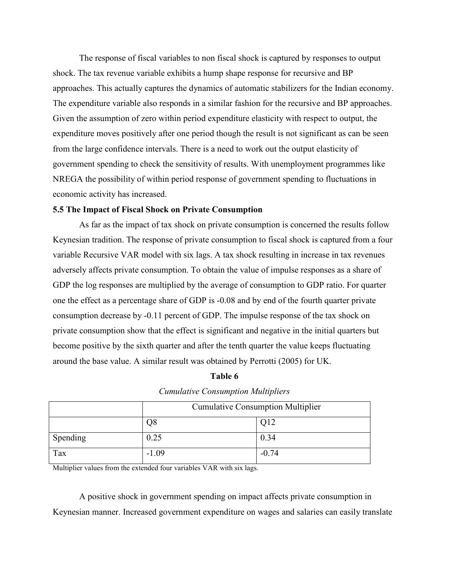The response of fiscal variables to non fiscal shock is captured by responses to output shock. The tax revenue variable exhibits a hump shape response for recursive and BP approaches. This actually captures the dynamics of automatic stabilizers for the Indian economy. The expenditure variable also responds in a similar fashion for the recursive and BP approaches. Given the assumption of zero within period expenditure elasticity with respect to output, the expenditure moves positively after one period though the result is not significant as can be seen from the large confidence intervals. There is a need to work out the output elasticity of government spending to check the sensitivity of results. With unemployment programmes like NREGA the possibility of within period response of government spending to fluctuations in economic activity has increased.

#### **5.5 The Impact of Fiscal Shock on Private Consumption**

As far as the impact of tax shock on private consumption is concerned the results follow Keynesian tradition. The response of private consumption to fiscal shock is captured from a four variable Recursive VAR model with six lags. A tax shock resulting in increase in tax revenues adversely affects private consumption. To obtain the value of impulse responses as a share of GDP the log responses are multiplied by the average of consumption to GDP ratio. For quarter one the effect as a percentage share of GDP is -0.08 and by end of the fourth quarter private consumption decrease by -0.11 percent of GDP. The impulse response of the tax shock on private consumption show that the effect is significant and negative in the initial quarters but become positive by the sixth quarter and after the tenth quarter the value keeps fluctuating around the base value. A similar result was obtained by Perrotti (2005) for UK.

| able 6 |  |
|--------|--|
|--------|--|

|  | <b>Cumulative Consumption Multipliers</b> |  |
|--|-------------------------------------------|--|
|--|-------------------------------------------|--|

|          | <b>Cumulative Consumption Multiplier</b> |         |  |
|----------|------------------------------------------|---------|--|
|          | Q8                                       | Q12     |  |
| Spending | 0.25                                     | 0.34    |  |
| Tax      | $-1.09$                                  | $-0.74$ |  |

Multiplier values from the extended four variables VAR with six lags.

A positive shock in government spending on impact affects private consumption in Keynesian manner. Increased government expenditure on wages and salaries can easily translate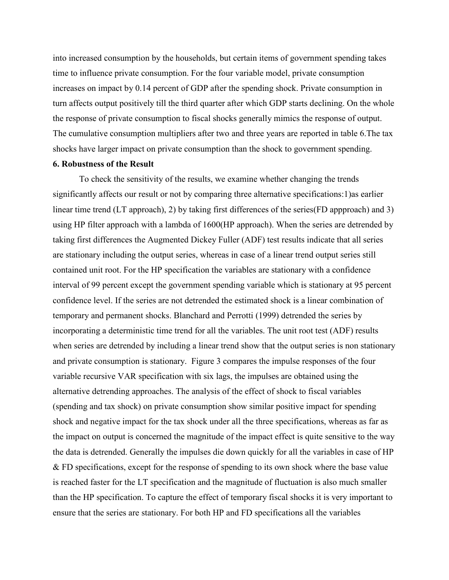into increased consumption by the households, but certain items of government spending takes time to influence private consumption. For the four variable model, private consumption increases on impact by 0.14 percent of GDP after the spending shock. Private consumption in turn affects output positively till the third quarter after which GDP starts declining. On the whole the response of private consumption to fiscal shocks generally mimics the response of output. The cumulative consumption multipliers after two and three years are reported in table 6.The tax shocks have larger impact on private consumption than the shock to government spending.

#### **6. Robustness of the Result**

To check the sensitivity of the results, we examine whether changing the trends significantly affects our result or not by comparing three alternative specifications:1)as earlier linear time trend (LT approach), 2) by taking first differences of the series(FD appproach) and 3) using HP filter approach with a lambda of 1600(HP approach). When the series are detrended by taking first differences the Augmented Dickey Fuller (ADF) test results indicate that all series are stationary including the output series, whereas in case of a linear trend output series still contained unit root. For the HP specification the variables are stationary with a confidence interval of 99 percent except the government spending variable which is stationary at 95 percent confidence level. If the series are not detrended the estimated shock is a linear combination of temporary and permanent shocks. Blanchard and Perrotti (1999) detrended the series by incorporating a deterministic time trend for all the variables. The unit root test (ADF) results when series are detrended by including a linear trend show that the output series is non stationary and private consumption is stationary. Figure 3 compares the impulse responses of the four variable recursive VAR specification with six lags, the impulses are obtained using the alternative detrending approaches. The analysis of the effect of shock to fiscal variables (spending and tax shock) on private consumption show similar positive impact for spending shock and negative impact for the tax shock under all the three specifications, whereas as far as the impact on output is concerned the magnitude of the impact effect is quite sensitive to the way the data is detrended. Generally the impulses die down quickly for all the variables in case of HP & FD specifications, except for the response of spending to its own shock where the base value is reached faster for the LT specification and the magnitude of fluctuation is also much smaller than the HP specification. To capture the effect of temporary fiscal shocks it is very important to ensure that the series are stationary. For both HP and FD specifications all the variables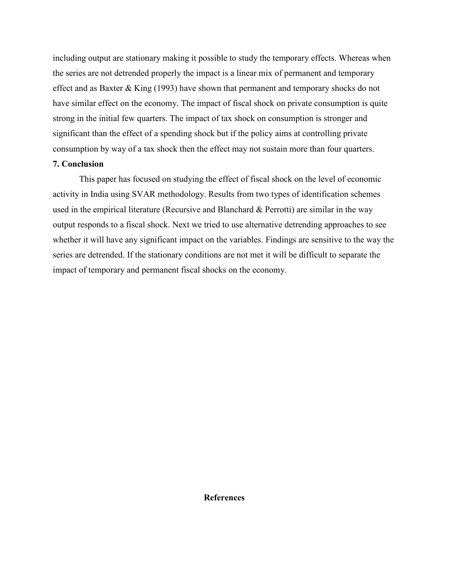including output are stationary making it possible to study the temporary effects. Whereas when the series are not detrended properly the impact is a linear mix of permanent and temporary effect and as Baxter & King (1993) have shown that permanent and temporary shocks do not have similar effect on the economy. The impact of fiscal shock on private consumption is quite strong in the initial few quarters. The impact of tax shock on consumption is stronger and significant than the effect of a spending shock but if the policy aims at controlling private consumption by way of a tax shock then the effect may not sustain more than four quarters.

### **7. Conclusion**

This paper has focused on studying the effect of fiscal shock on the level of economic activity in India using SVAR methodology. Results from two types of identification schemes used in the empirical literature (Recursive and Blanchard & Perrotti) are similar in the way output responds to a fiscal shock. Next we tried to use alternative detrending approaches to see whether it will have any significant impact on the variables. Findings are sensitive to the way the series are detrended. If the stationary conditions are not met it will be difficult to separate the impact of temporary and permanent fiscal shocks on the economy.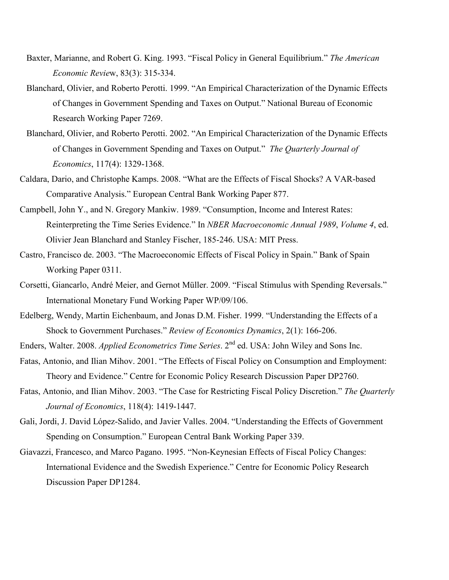- Baxter, Marianne, and Robert G. King. 1993. "Fiscal Policy in General Equilibrium." The American *Economic Review, 83(3): 315-334.*
- Blanchard, Olivier, and Roberto Perotti. 1999. "An Empirical Characterization of the Dynamic Effects of Changes in Government Spending and Taxes on Output." National Bureau of Economic Research Working Paper 7269.
- Blanchard, Olivier, and Roberto Perotti. 2002. "An Empirical Characterization of the Dynamic Effects of Changes in Government Spending and Taxes on Output." The Quarterly Journal of *Economics*, 117(4): 1329-1368.
- Caldara, Dario, and Christophe Kamps. 2008. "What are the Effects of Fiscal Shocks? A VAR-based Comparative Analysis." European Central Bank Working Paper 877.
- Campbell, John Y., and N. Gregory Mankiw. 1989. "Consumption, Income and Interest Rates: Reinterpreting the Time Series Evidence." In *NBER Macroeconomic Annual 1989, Volume 4, ed.* Olivier Jean Blanchard and Stanley Fischer, 185-246. USA: MIT Press.
- Castro, Francisco de. 2003. "The Macroeconomic Effects of Fiscal Policy in Spain." Bank of Spain Working Paper 0311.
- Corsetti, Giancarlo, André Meier, and Gernot Müller. 2009. "Fiscal Stimulus with Spending Reversals." International Monetary Fund Working Paper WP/09/106.
- Edelberg, Wendy, Martin Eichenbaum, and Jonas D.M. Fisher. 1999. "Understanding the Effects of a Shock to Government Purchases." *Review of Economics Dynamics*, 2(1): 166-206.
- Enders, Walter. 2008. *Applied Econometrics Time Series*. 2<sup>nd</sup> ed. USA: John Wiley and Sons Inc.
- Fatas, Antonio, and Ilian Mihov. 2001. "The Effects of Fiscal Policy on Consumption and Employment: Theory and Evidence." Centre for Economic Policy Research Discussion Paper DP2760.
- Fatas, Antonio, and Ilian Mihov. 2003. "The Case for Restricting Fiscal Policy Discretion." The Quarterly *Journal of Economics*, 118(4): 1419-1447.
- Gali, Jordi, J. David López-Salido, and Javier Valles. 2004. "Understanding the Effects of Government Spending on Consumption." European Central Bank Working Paper 339.
- Giavazzi, Francesco, and Marco Pagano. 1995. "Non-Keynesian Effects of Fiscal Policy Changes: International Evidence and the Swedish Experience." Centre for Economic Policy Research Discussion Paper DP1284.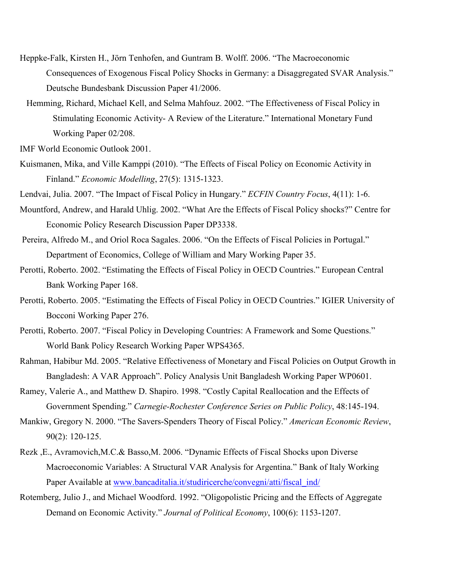- Heppke-Falk, Kirsten H., Jörn Tenhofen, and Guntram B. Wolff. 2006. "The Macroeconomic Consequences of Exogenous Fiscal Policy Shocks in Germany: a Disaggregated SVAR Analysis." Deutsche Bundesbank Discussion Paper 41/2006.
- Hemming, Richard, Michael Kell, and Selma Mahfouz. 2002. "The Effectiveness of Fiscal Policy in Stimulating Economic Activity- A Review of the Literature." International Monetary Fund Working Paper 02/208.

IMF World Economic Outlook 2001.

Kuismanen, Mika, and Ville Kamppi (2010). "The Effects of Fiscal Policy on Economic Activity in Finland." *Economic Modelling*, 27(5): 1315-1323.

Lendvai, Julia. 2007. "The Impact of Fiscal Policy in Hungary." *ECFIN Country Focus*, 4(11): 1-6.

- Mountford, Andrew, and Harald Uhlig. 2002. "What Are the Effects of Fiscal Policy shocks?" Centre for Economic Policy Research Discussion Paper DP3338.
- Pereira, Alfredo M., and Oriol Roca Sagales. 2006. "On the Effects of Fiscal Policies in Portugal." Department of Economics, College of William and Mary Working Paper 35.
- Perotti, Roberto. 2002. "Estimating the Effects of Fiscal Policy in OECD Countries." European Central Bank Working Paper 168.
- Perotti, Roberto. 2005. "Estimating the Effects of Fiscal Policy in OECD Countries." IGIER University of Bocconi Working Paper 276.
- Perotti, Roberto. 2007. "Fiscal Policy in Developing Countries: A Framework and Some Questions." World Bank Policy Research Working Paper WPS4365.
- Rahman, Habibur Md. 2005. "Relative Effectiveness of Monetary and Fiscal Policies on Output Growth in Bangladesh: A VAR Approach". Policy Analysis Unit Bangladesh Working Paper WP0601.
- Ramey, Valerie A., and Matthew D. Shapiro. 1998. "Costly Capital Reallocation and the Effects of Government Spending." Carnegie-Rochester Conference Series on Public Policy, 48:145-194.
- Mankiw, Gregory N. 2000. "The Savers-Spenders Theory of Fiscal Policy." American Economic Review, 90(2): 120-125.
- Rezk ,E., Avramovich,M.C.& Basso,M. 2006. "Dynamic Effects of Fiscal Shocks upon Diverse Macroeconomic Variables: A Structural VAR Analysis for Argentina." Bank of Italy Working Paper Available at [www.bancaditalia.it/studiricerche/convegni/atti/fiscal\\_ind/](http://www.bancaditalia.it/studiricerche/convegni/atti/fiscal_ind/)
- Rotemberg, Julio J., and Michael Woodford. 1992. "Oligopolistic Pricing and the Effects of Aggregate Demand on Economic Activity." *Journal of Political Economy*, 100(6): 1153-1207.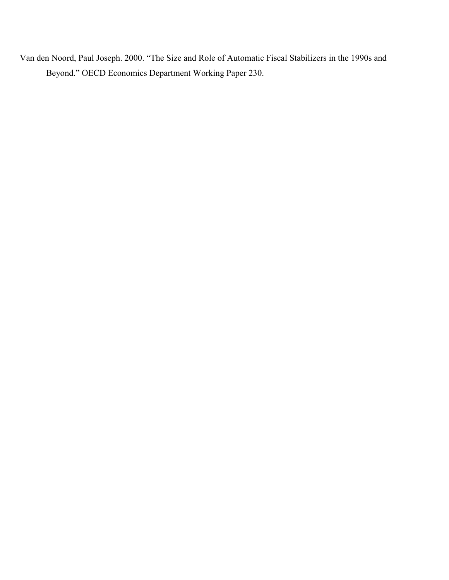Van den Noord, Paul Joseph. 2000. "The Size and Role of Automatic Fiscal Stabilizers in the 1990s and Beyond." OECD Economics Department Working Paper 230.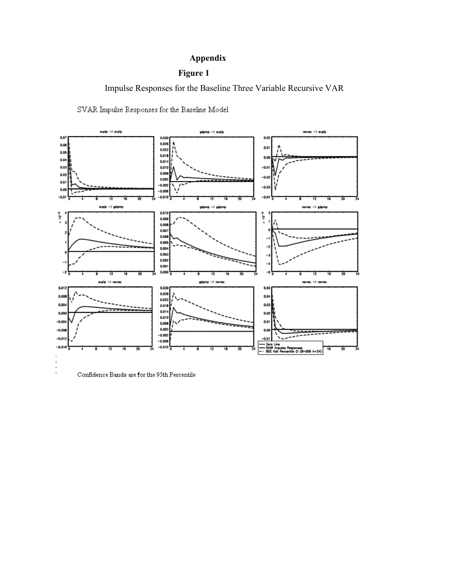# **Appendix**

# **Figure 1**

Impulse Responses for the Baseline Three Variable Recursive VAR

SVAR Impulse Responses for the Baseline Model



Confidence Bands are for the 95th Percentile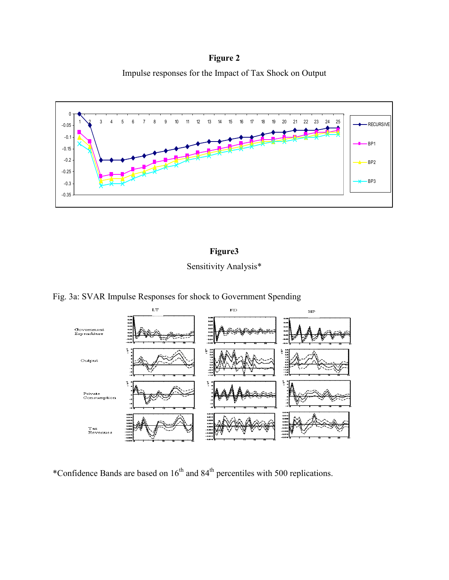**Figure 2** 

Impulse responses for the Impact of Tax Shock on Output



# **Figure3**

Sensitivity Analysis\*

Fig. 3a: SVAR Impulse Responses for shock to Government Spending



\*Confidence Bands are based on  $16^{th}$  and  $84^{th}$  percentiles with 500 replications.